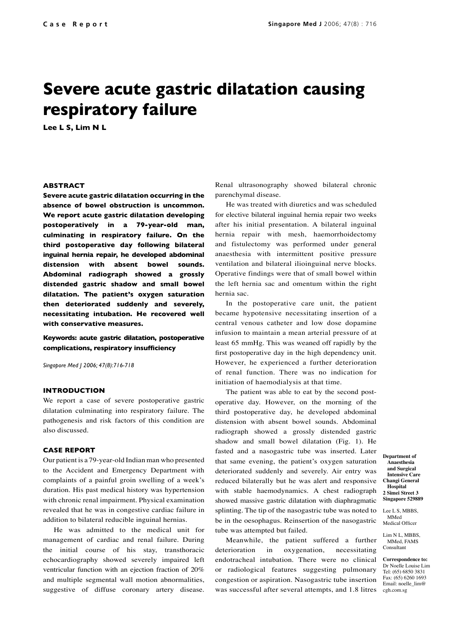# **Severe acute gastric dilatation causing respiratory failure**

**Lee L S, Lim N L**

## **ABSTRACT**

**Severe acute gastric dilatation occurring in the absence of bowel obstruction is uncommon. We report acute gastric dilatation developing postoperatively in a 79-year-old man, culminating in respiratory failure. On the third postoperative day following bilateral inguinal hernia repair, he developed abdominal distension with absent bowel sounds. Abdominal radiograph showed a grossly distended gastric shadow and small bowel dilatation. The patient's oxygen saturation then deteriorated suddenly and severely, necessitating intubation. He recovered well with conservative measures.**

**Keywords: acute gastric dilatation, postoperative complications, respiratory insufficiency**

*Singapore Med J 2006; 47(8):716-718*

#### **INTRODUCTION**

We report a case of severe postoperative gastric dilatation culminating into respiratory failure. The pathogenesis and risk factors of this condition are also discussed.

#### **CASE REPORT**

Our patient is a 79-year-old Indian man who presented to the Accident and Emergency Department with complaints of a painful groin swelling of a week's duration. His past medical history was hypertension with chronic renal impairment. Physical examination revealed that he was in congestive cardiac failure in addition to bilateral reducible inguinal hernias.

He was admitted to the medical unit for management of cardiac and renal failure. During the initial course of his stay, transthoracic echocardiography showed severely impaired left ventricular function with an ejection fraction of 20% and multiple segmental wall motion abnormalities, suggestive of diffuse coronary artery disease. Renal ultrasonography showed bilateral chronic parenchymal disease.

He was treated with diuretics and was scheduled for elective bilateral inguinal hernia repair two weeks after his initial presentation. A bilateral inguinal hernia repair with mesh, haemorrhoidectomy and fistulectomy was performed under general anaesthesia with intermittent positive pressure ventilation and bilateral ilioinguinal nerve blocks. Operative findings were that of small bowel within the left hernia sac and omentum within the right hernia sac.

In the postoperative care unit, the patient became hypotensive necessitating insertion of a central venous catheter and low dose dopamine infusion to maintain a mean arterial pressure of at least 65 mmHg. This was weaned off rapidly by the first postoperative day in the high dependency unit. However, he experienced a further deterioration of renal function. There was no indication for initiation of haemodialysis at that time.

The patient was able to eat by the second postoperative day. However, on the morning of the third postoperative day, he developed abdominal distension with absent bowel sounds. Abdominal radiograph showed a grossly distended gastric shadow and small bowel dilatation (Fig. 1). He fasted and a nasogastric tube was inserted. Later that same evening, the patient's oxygen saturation deteriorated suddenly and severely. Air entry was reduced bilaterally but he was alert and responsive with stable haemodynamics. A chest radiograph showed massive gastric dilatation with diaphragmatic splinting. The tip of the nasogastric tube was noted to be in the oesophagus. Reinsertion of the nasogastric tube was attempted but failed.

Meanwhile, the patient suffered a further deterioration in oxygenation, necessitating endotracheal intubation. There were no clinical or radiological features suggesting pulmonary congestion or aspiration. Nasogastric tube insertion was successful after several attempts, and 1.8 litres

**Department of Anaesthesia and Surgical Intensive Care Changi General Hospital 2 Simei Street 3 Singapore 529889**

Lee L S, MBBS, MMed Medical Officer

Lim N L, MBBS, MMed, FAMS Consultant

**Correspondence to:** Dr Noelle Louise Lim Tel: (65) 6850 3831 Fax: (65) 6260 1693 Email: noelle\_lim@ cgh.com.sg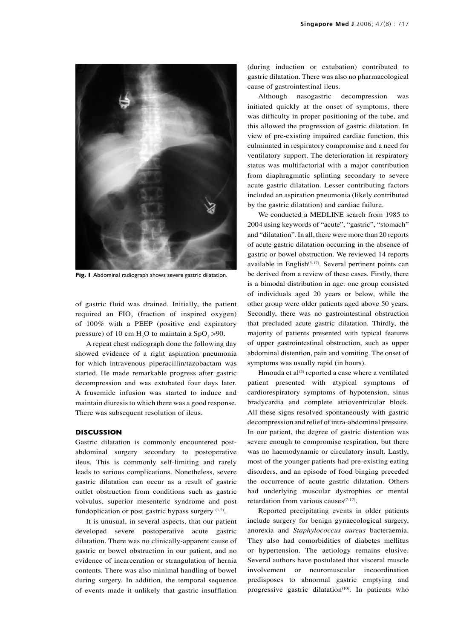

**Fig. I** Abdominal radiograph shows severe gastric dilatation.

of gastric fluid was drained. Initially, the patient required an  $FIO<sub>2</sub>$  (fraction of inspired oxygen) of 100% with a PEEP (positive end expiratory pressure) of 10 cm  $H_2O$  to maintain a SpO<sub>2</sub> > 90.

A repeat chest radiograph done the following day showed evidence of a right aspiration pneumonia for which intravenous piperacillin/tazobactam was started. He made remarkable progress after gastric decompression and was extubated four days later. A frusemide infusion was started to induce and maintain diuresis to which there was a good response. There was subsequent resolution of ileus.

### **DISCUSSION**

Gastric dilatation is commonly encountered postabdominal surgery secondary to postoperative ileus. This is commonly self-limiting and rarely leads to serious complications. Nonetheless, severe gastric dilatation can occur as a result of gastric outlet obstruction from conditions such as gastric volvulus, superior mesenteric syndrome and post fundoplication or post gastric bypass surgery  $(1,2)$ .

It is unusual, in several aspects, that our patient developed severe postoperative acute gastric dilatation. There was no clinically-apparent cause of gastric or bowel obstruction in our patient, and no evidence of incarceration or strangulation of hernia contents. There was also minimal handling of bowel during surgery. In addition, the temporal sequence of events made it unlikely that gastric insufflation (during induction or extubation) contributed to gastric dilatation. There was also no pharmacological cause of gastrointestinal ileus.

Although nasogastric decompression was initiated quickly at the onset of symptoms, there was difficulty in proper positioning of the tube, and this allowed the progression of gastric dilatation. In view of pre-existing impaired cardiac function, this culminated in respiratory compromise and a need for ventilatory support. The deterioration in respiratory status was multifactorial with a major contribution from diaphragmatic splinting secondary to severe acute gastric dilatation. Lesser contributing factors included an aspiration pneumonia (likely contributed by the gastric dilatation) and cardiac failure.

We conducted a MEDLINE search from 1985 to 2004 using keywords of "acute", "gastric", "stomach" and "dilatation". In all, there were more than 20 reports of acute gastric dilatation occurring in the absence of gastric or bowel obstruction. We reviewed 14 reports available in English $(3-17)$ . Several pertinent points can be derived from a review of these cases. Firstly, there is a bimodal distribution in age: one group consisted of individuals aged 20 years or below, while the other group were older patients aged above 50 years. Secondly, there was no gastrointestinal obstruction that precluded acute gastric dilatation. Thirdly, the majority of patients presented with typical features of upper gastrointestinal obstruction, such as upper abdominal distention, pain and vomiting. The onset of symptoms was usually rapid (in hours).

Hmouda et al $^{(3)}$  reported a case where a ventilated patient presented with atypical symptoms of cardiorespiratory symptoms of hypotension, sinus bradycardia and complete atrioventricular block. All these signs resolved spontaneously with gastric decompression and relief of intra-abdominal pressure. In our patient, the degree of gastric distention was severe enough to compromise respiration, but there was no haemodynamic or circulatory insult. Lastly, most of the younger patients had pre-existing eating disorders, and an episode of food binging preceded the occurrence of acute gastric dilatation. Others had underlying muscular dystrophies or mental retardation from various causes $(7-17)$ .

Reported precipitating events in older patients include surgery for benign gynaecological surgery, anorexia and *Staphylococcus aureus* bacteraemia. They also had comorbidities of diabetes mellitus or hypertension. The aetiology remains elusive. Several authors have postulated that visceral muscle involvement or neuromuscular incoordination predisposes to abnormal gastric emptying and progressive gastric dilatation<sup>(10)</sup>. In patients who